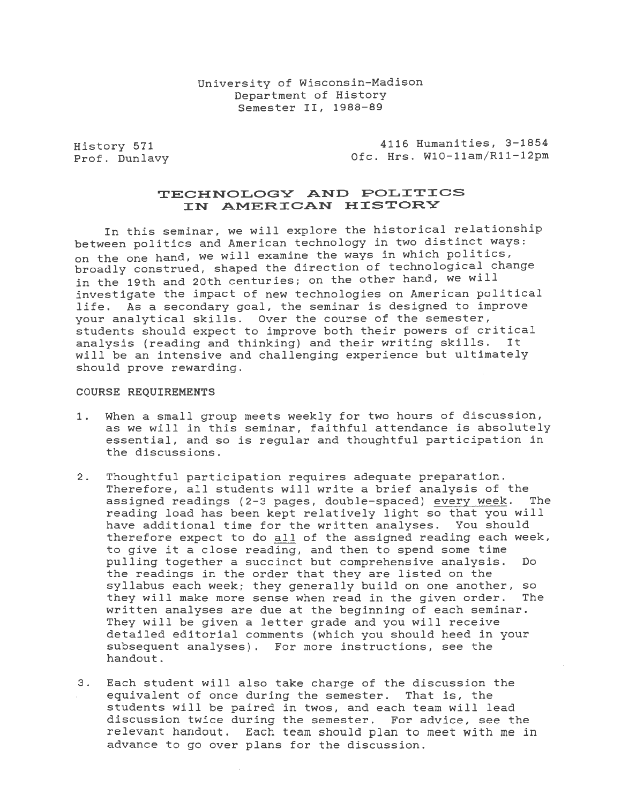History 571 Prof. Dunlavy

4116 Humanities, 3-1854 Ofc. Hrs. W10-llam/Rll-12pm

# TECHNOLOGY AND POLITICS IN AMERICAN HISTORY

In this seminar, we will explore the historical relationship between politics and American technology *in* two distinct ways: on the one hand, we will examine the ways in which politics, broadly construed, shaped the direction of technological change in the 19th and 20th centuries; on the other hand, we will investigate the impact of new technologies on American political life. As a secondary goal, the seminar is designed to improve your analytical skills. Over the course of the semester, students should expect to improve both their powers of critical<br>analysis (reading and thinking) and their writing skills. It analysis (reading and thinking) and their writing skills. will be an intensive and challenging experience but ultimately should prove rewarding.

#### COURSE REQUIREMENTS

- 1. When a small group meets weekly for two hours of discussion, as we will *in* this seminar, faithful attendance *is* absolutely essential, and so *is* regular and thoughtful participation *in*  the discussions.
- 2. Thoughtful participation requires adequate preparation. Therefore, all students will write a brief analysis of the<br>assigned readings (2-3 pages, double-spaced) every week. The assigned readings (2-3 pages, double-spaced) every week. reading load has been kept relatively light so that you will have additional *time* for the written analyses. You should therefore expect to do all of the assigned reading each week, to give *it* a close reading, and then to spend some *time*  pulling together a succinct but comprehensive analysis. Do the readings *in* the order that they are listed on the syllabus each week; they generally build on one another, so<br>they will make more sense when read in the given order. The they will make more sense when read in the given order. written analyses are due at the beginning of each seminar. They will be given a letter grade and you will receive detailed editorial comments (which you should heed *in* your subsequent analyses). For more instructions, see the handout.
- 3. Each student will also take charge of the discussion the equivalent of once during the semester. That is, the students will be paired *in* twos, and each team will lead discussion twice during the semester. For advice, see the relevant handout. Each team should plan to meet with me in advance to go over plans for the discussion.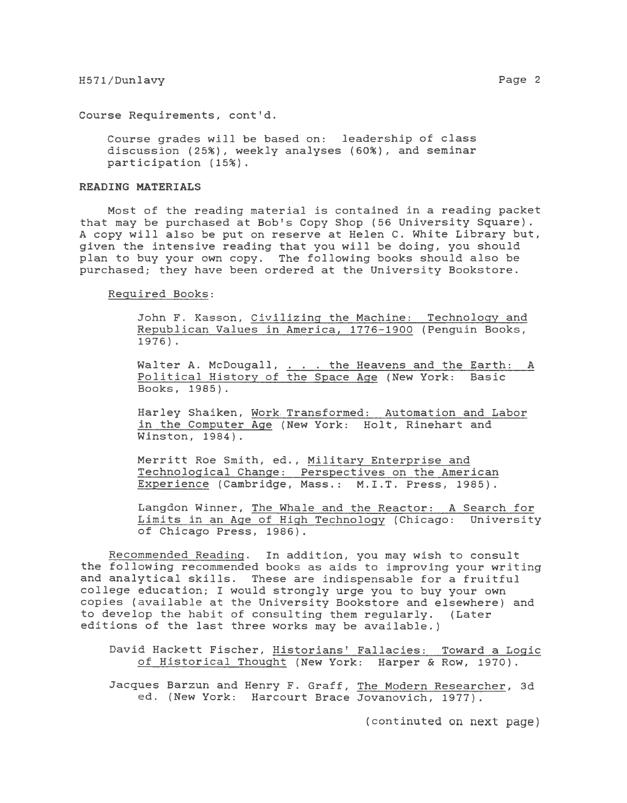Course Requirements, cont'd.

Course grades will be based on: leadership of class discussion (25%), weekly analyses (60%), and seminar participation (15%).

# **READING MATERIALS**

Most of the reading material is contained *in* a reading packet that may be purchased at Bob's Copy Shop (56 University Square). A copy will also be put on reserve at Helen C. White Library but, given the intensive reading that you will be doing, you should plan to buy your own copy. The following books should also be purchased; they have been ordered at the University Bookstore.

Required Books:

John F. Kasson, Civilizing the Machine: Technology and Republican Values *in* America, 1776-1900 (Penguin Books, 1976).

Walter A. McDougall, . the Heavens and the Earth: A Political History of the Space Age (New York: *Basic*  Books, 1985).

Harley Shaiken, Work. Transformed: Automation and Labor *in* the Computer Age (New York: Holt, Rinehart and Winston, 1984) .

Merritt Roe Smith, ed., Military Enterprise and Technological Change: Perspectives on the American Experience (Cambridge, Mass.: M.I.T. Press, 1985).

Langdon Winner, The Whale and the Reactor: A Search for Limits *in* an Age of High Technology (Chicago: University of Chicago Press, 1986).

Recommended Reading. In addition, you may wish to consult the following recommended books as aids to improving your writing and analytical skills. These are indispensable for a fruitful college education; I would strongly urge you to buy your own copies (available at the University Bookstore and elsewhere) and to develop the habit of consulting them regularly. (Later editions of the last three works may be available.)

David Hackett Fischer, Historians' Fallacies: Toward a Logic of Historical Thought (New York: Harper & Row, 1970).

Jacques Barzun and Henry F. Graff, The Modern Researcher, 3d ed. (New York: Harcourt Brace Jovanovich, 1977).

(continuted on next page)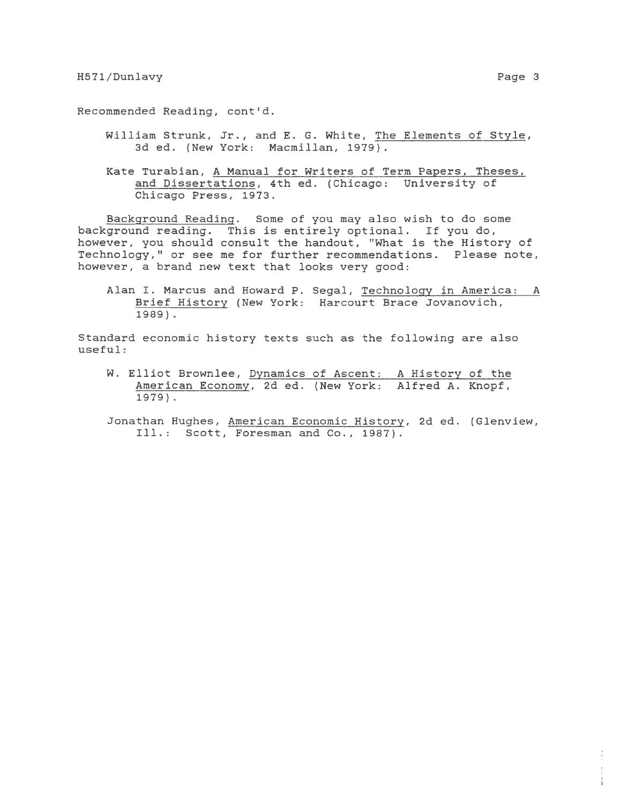Recommended Reading, cont'd .

- *. William* Strunk, Jr., and E. G. White, The Elements of Style, 3d ed. (New York: Macmillan, 1979).
- Kate Turabian, A Manual for Writers of Term Papers, Theses, and Dissertations, 4th ed. (Chicago: University of Chicago Press, 1973.

Background Reading. Some of you may also wish to do some background reading. This *is* entirely optional. If you do, however, you should consult the handout, "What *is* the History of Technology," or see me for further recommendations. Please note, however, a brand new text that looks very good:

Alan I. Marcus and Howard P. Segal, Technology *in* America: A Brief History (New York: Harcourt Brace Jovanovich, 1989).

Standard economic history texts such as the following are also useful :

- W. Elliot Brownlee, Dynamics of Ascent: A History of the American Economy, 2d ed. (New York: Alfred A. Knopf, 1979) .
- Jonathan Hughes, American Economic History, 2d ed. (Glenview, Ill.: Scott, Foresman and Co., 1987).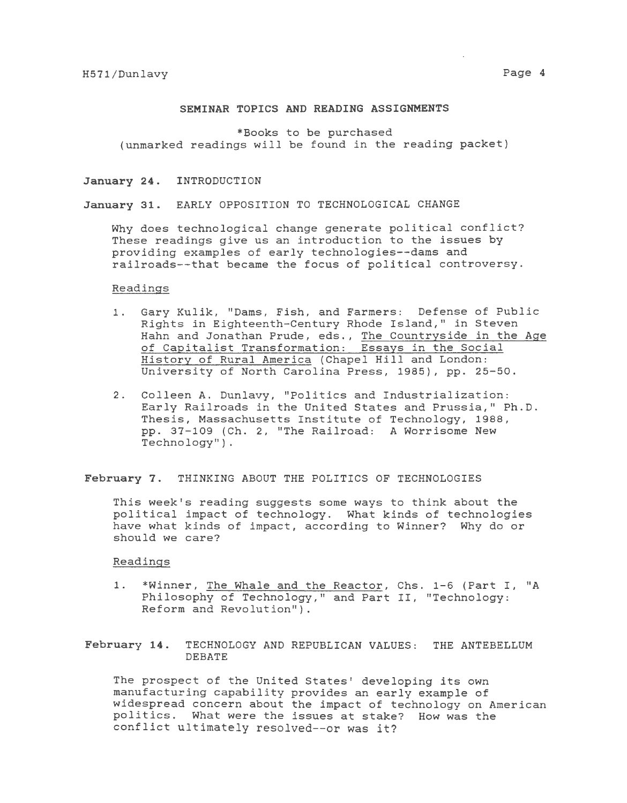#### **SEMINAR TOPICS AND READING ASSIGNMENTS**

\*Books to be purchased (unmarked readings will be found *in* the reading packet)

# January 24. INTRODUCTION

## **January 31.** EARLY OPPOSITION TO TECHNOLOGICAL CHANGE

Why does technological change generate political conflict? These readings give us an introduction to the issues by providing examples of early technologies--dams and railroads--that became the focus of political controversy.

## Readings

- 1. Gary Kulik, "Dams, Fish, and Farmers: Defense of Public Rights *in* Eighteenth-Century Rhode Island," *in* Steven Hahn and Jonathan Prude, eds., The Countryside *in* the Age of Capitalist Transformation: Essays *in* the *Social*  History of Rural America (Chapel Hill and London: University of North Carolina Press, 1985), pp. 25-50.
- 2. Colleen A. Dunlavy, "Politics and Industrialization: Early Railroads in the United States and Prussia," Ph.D. Thesis, Massachusetts Institute of Technology, 1988, pp. 37-109 {Ch. 2, "The Railroad: A Worrisome New Technology") .

**February 7.** THINKING ABOUT THE POLITICS OF TECHNOLOGIES

This week's reading suggests some ways to think about the political impact of technology. What kinds of technologies have what kinds of impact, according to Winner? Why do or should we care?

#### Readings

1. \*Winner, The Whale and the Reactor, Chs. 1-6 (Part I, "A Philosophy of Technology," and Part II, "Technology: Reform and Revolution").

**February 14.** TECHNOLOGY AND REPUBLICAN VALUES: THE ANTEBELLUM DEBATE

The prospect of the United States' developing its own manufacturing capability provides an early example of widespread concern about the impact of technology on American politics. What were the issues at stake? How was the conflict ultimately resolved--or was it?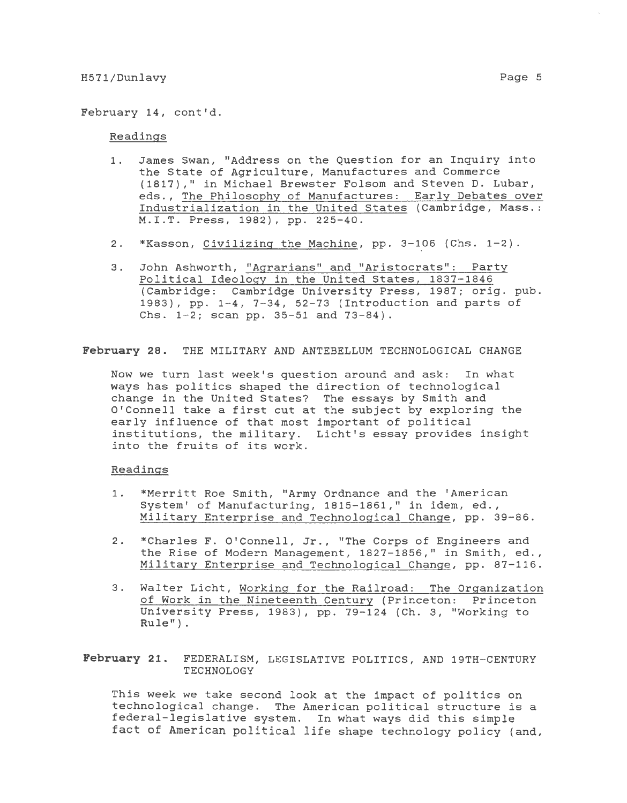February 14, cont'd.

# Readings

- 1. James Swan, "Address on the Question for an Inquiry into the State of Agriculture, Manufactures and Commerce (1817)," in Michael Brewster Folsom and Steven D. Lubar, eds., The Philosophy of Manufactures: Early Debates over Industrialization in the United States (Cambridge, Mass.: M.I.T. Press, 1982), pp. 225-40.
- 2. \*Kasson, Civilizing the Machine, pp. 3-106 (Chs. 1-2).
- 3. John Ashworth, "Agrarians" and "Aristocrats": Party Political Ideology in the United States, 1837-1846 (Cambridge: Cambridge University Press, 1987; orig. pub. 1983), pp. 1-4, 7-34, 52-73 (Introduction and parts of Chs. 1-2; scan pp. 35-51 and 73-84).

**February** 28. THE MILITARY AND ANTEBELLUM TECHNOLOGICAL CHANGE

Now we turn last week's question around and ask: In what ways has politics shaped the direction of technological change in the United States? The essays by Smith and O'Connell take a first cut at the subject by exploring the early influence of that most important of political institutions, the military. Licht's essay provides insight into the fruits of its work.

### Readings

- 1. \*Merritt Roe Smith, "Army Ordnance and the 'American System' of Manufacturing, 1815-1861," in idem, ed., Military Enterprise and Technological Change, pp. 39-86.
- 2. \*Charles F. O'Connell, Jr., "The Corps of Engineers and the Rise of Modern Management, 1827-1856," in Smith, ed., Military Enterprise and Technological Change, pp. 87-116.
- 3. Walter Licht, Working for the Railroad: The Organization of Work in the Nineteenth Century (Princeton: Princeton University Press, 1983), pp. 79-124 (Ch. 3, "Working to Rule") .

**February** 21. FEDERALISM, LEGISLATIVE POLITICS, AND 19TH-CENTURY TECHNOLOGY

This week we take second look at the impact of politics on technological change. The American political structure *is* <sup>a</sup> federal-legislative system. In what ways did this simple fact of American political life shape technology policy (and,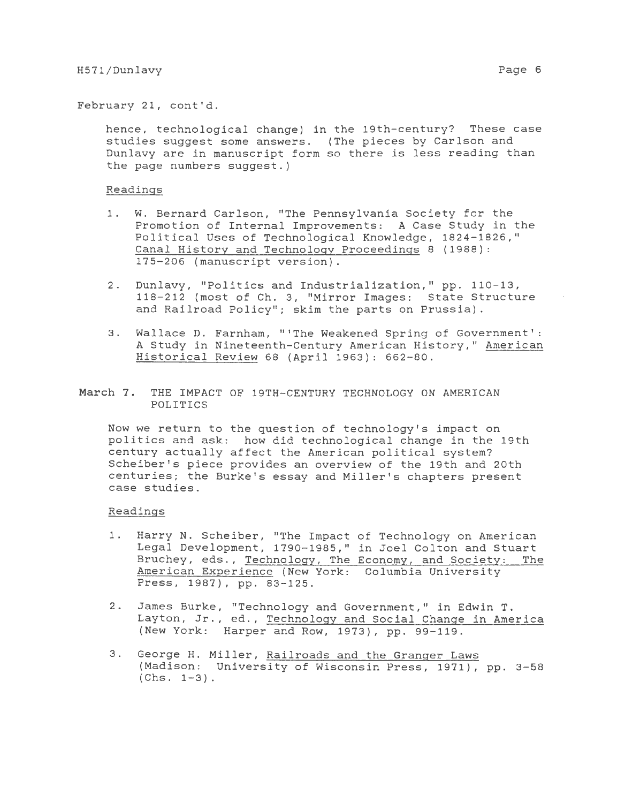February 21, cont'd.

hence, technological change) in the 19th-century? These case studies suggest some answers. (The pieces by Carlson and Dunlavy are in manuscript form so there *is* less reading than the page numbers suggest.)

#### Readings

- 1. W. Bernard Carlson, "The Pennsylvania Society for the Promotion of Internal Improvements: A Case Study in the Political Uses of Technological Knowledge, 1824-1826," Canal History and Technology Proceedings 8 (1988): 175-206 (manuscript version).
- 2. Dunlavy, "Politics and Industrialization," pp. 110-13, 118-212 (most of Ch. 3, "Mirror Images: State Structure and Railroad Policy"; skim the parts on Prussia).
- 3. Wallace D. Farnham, "'The Weakened Spring of Government': A Study in Nineteenth-Century American History," American Historical Review 68 (April 1963): 662-80.
- March 7. THE IMPACT OF 19TH-CENTURY TECHNOLOGY ON AMERICAN POLITICS

Now we return to the question of technology's impact on politics and ask: how did technological change in the 19th century actually affect the American political system? Scheiber's *piece* provides an overview of the 19th and 20th centuries; the Burke's essay and Miller's chapters present case studies.

#### Readings

- 1. Harry N. Scheiber, "The Impact of Technology on American Legal Development, 1790-1985," in Joel Colton and Stuart Bruchey, eds., Technology, The Economy, and Society: The American Experience {New York: Columbia University Press, 1987), pp. 83-125.
- 2. James Burke, "Technology and Government," in Edwin T. Layton, Jr., ed., Technology and Social Chanqe in America (New York: Harper and Row, 1973), pp. 99-119.
- 3. George H. Miller, Railroads and the Granger Laws (Madison: University of Wisconsin Press, 1971), pp. 3-58  $(Chs. 1-3)$ .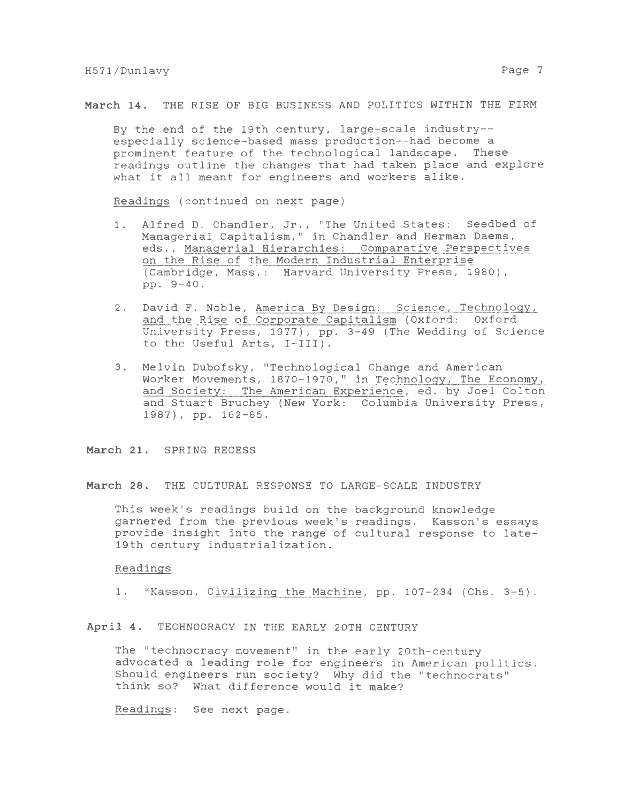March 14. THE RISE OF BIG BUSINESS AND POLITICS WITHIN THE FIRM

By the end of the 19th century, large-scale industry- especially science-based mass production--had become a prominent feature of the technological landscape. These readings outline the changes that had taken place and explore what it all meant for engineers and workers alike.

Readings (continued on next page)

- 1. Alfred D. Chandler, Jr., "The United States: Seedbed of Managerial Capitalism," *in* Chandler and Herman Daems, eds., Managerial Hierarchies: Comparative Perspectives on the Rise of the Modern Industrial Enterprise (Cambridge, Mass.: Harvard University Press, 1980), pp. 9-40.
- 2. David F. Noble, America By Design: Science, Technology, and the Rise of Corporate Capitalism (Oxford: Oxford University Press, 1977), pp. 3-49 (The Wedding of Science to the Useful Arts, I-III).
- 3. Melvin Dubofsky, "Technological Change and American Worker Movements, 1870-1970," *in* Technology, The Economy, and Society: The American Experience, ed. by Joel Colton and Stuart Bruchey (New York: Columbia University Press, 1987), pp. 162-85.

March 21. SPRING RECESS

March 28. THE CULTURAL RESPONSE TO LARGE-SCALE INDUSTRY

This week's readings build on the background knowledge garnered from the previous week's readings. Kasson's essays provide insight into the range of cultural response to late-19th century industrialization.

## Readings

1. \*Kasson, *Civilizing* the Machine, pp. 107-234 (Chs. 3-5).

*April* 4. TECHNOCRACY IN THE EARLY 20TH CENTURY

The "technocracy movement" *in* the early 20th-century advocated a leading role for engineers *in* American politics. Should engineers run society? Why did the "technocrats" think so? What difference would it make?

Readings: See next page.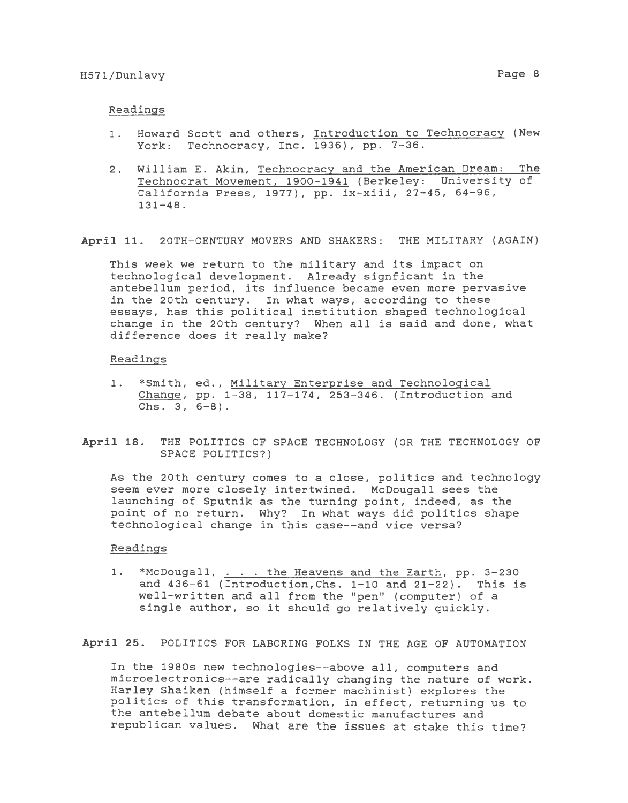- 1. Howard Scott and others, Introduction to Technocracy (New York: Technocracy, Inc. 1936), pp. 7-36.
- 2. *William* E. Akin, Technocracy and the American Dream: The Technocrat Movement, 1900-1941 (Berkeley: University of California Press, 1977), pp. *ix-xiii,* 27-45, 64-96, 131-48.

**April 11.** 20TH-CENTURY MOVERS AND SHAKERS: THE MILITARY (AGAIN)

This week we return to the military and its impact on technological development. Already signficant in the antebellum period, its influence became even more pervasive in the 20th century. In what ways, according to these essays, has this *political* institution shaped technological change in the 20th century? When *all is* said and done, what difference does it really make?

#### Readings

- 1. \*Smith, ed., Military Enterprise and Technological Change, pp. 1-38, 117-174, 253-346. (Introduction and Chs. 3, 6-8).
- **April 18.** THE POLITICS OF SPACE TECHNOLOGY (OR THE TECHNOLOGY OF SPACE POLITICS?)

As the 20th century comes to a close, *politics* and technology seem ever more *closely* intertwined. *McDougall* sees the launching of Sputnik as the turning point, indeed, as the point of no return. Why? In what ways did *politics* shape technological change in this case--and vice versa?

## Readings

1. \*McDougall, . . . the Heavens and the Earth, pp. 3-230 and 436-61 (Introduction,Chs. 1-10 and 21-22). This *is*  well-written and *all* from the "pen'' (computer) of a *single* author, so it should go relatively quickly.

**April 25.** POLITICS FOR LABORING FOLKS IN THE AGE OF AUTOMATION

In the 1980s new technologies--above *all,* computers and microelectronics--are radically changing the nature of work. Harley Shaiken (himself a former machinist) explores the politics of this transformation, in effect, returning us to the antebellum debate about domestic manufactures and republican values. What are the *issues* at stake this time?